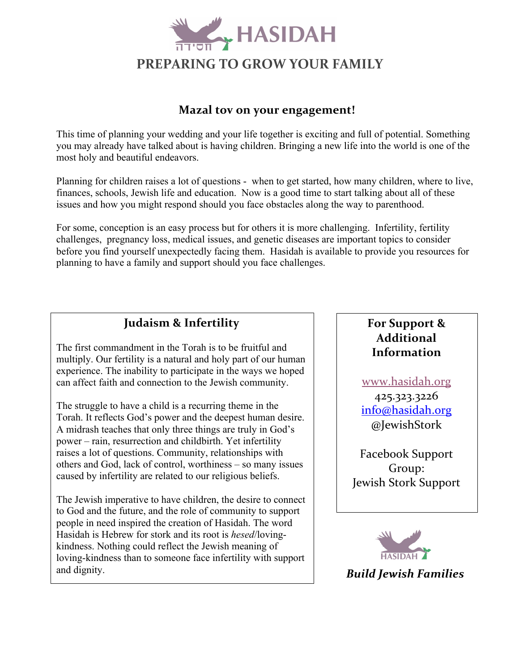

## **Mazal tov on your engagement!**

This time of planning your wedding and your life together is exciting and full of potential. Something you may already have talked about is having children. Bringing a new life into the world is one of the most holy and beautiful endeavors.

Planning for children raises a lot of questions - when to get started, how many children, where to live, finances, schools, Jewish life and education. Now is a good time to start talking about all of these issues and how you might respond should you face obstacles along the way to parenthood.

For some, conception is an easy process but for others it is more challenging. Infertility, fertility challenges, pregnancy loss, medical issues, and genetic diseases are important topics to consider before you find yourself unexpectedly facing them. Hasidah is available to provide you resources for planning to have a family and support should you face challenges.



A midrash teaches that only three things are truly in God's power – rain, resurrection and childbirth. Yet infertility raises a lot of questions. Community, relationships with others and God, lack of control, worthiness – so many issues caused by infertility are related to our religious beliefs.

The Jewish imperative to have children, the desire to connect to God and the future, and the role of community to support people in need inspired the creation of Hasidah. The word Hasidah is Hebrew for stork and its root is *hesed*/lovingkindness. Nothing could reflect the Jewish meaning of loving-kindness than to someone face infertility with support and dignity.

## **For Support & Additional Information**

www.hasidah.org 425.323.3226 info@hasidah.org @JewishStork

Facebook Support Group: Jewish Stork Support



## *Build Jewish Families*